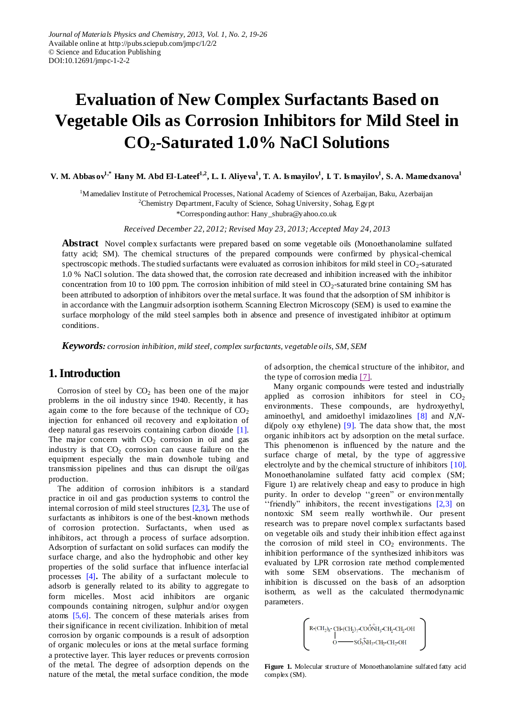# **Evaluation of New Complex Surfactants Based on Vegetable Oils as Corrosion Inhibitors for Mild Steel in CO2-Saturated 1.0% NaCl Solutions**

**V. M. Abbas ov1,\* Hany M. Abd El-Lateef1,2 , L. I. Aliyeva<sup>1</sup> , T. A. Is mayilov<sup>1</sup> , I. T. Is mayilov<sup>1</sup> , S. A. Mamedxanova<sup>1</sup>**

<sup>1</sup>Mamedaliev Institute of Petrochemical Processes, National Academy of Sciences of Azerbaijan, Baku, Azerbaijan

<sup>2</sup>Chemistry Department, Faculty of Science, Sohag University, Sohag, Egypt

\*Corresponding author: Hany\_shubra@yahoo.co.uk

*Received December 22, 2012; Revised May 23, 2013; Accepted May 24, 2013*

**Abstract** Novel complex surfactants were prepared based on some vegetable oils (Monoethanolamine sulfated fatty acid; SM). The chemical structures of the prepared compounds were confirmed by physical-chemical spectroscopic methods. The studied surfactants were evaluated as corrosion inhibitors for mild steel in CO<sub>2</sub>-saturated 1.0 % NaCl solution. The data showed that, the corrosion rate decreased and inhibition increased with the inhibitor concentration from 10 to 100 ppm. The corrosion inhibition of mild steel in  $CO_2$ -saturated brine containing SM has been attributed to adsorption of inhibitors over the metal surface. It was found that the adsorption of SM inhibitor is in accordance with the Langmuir adsorption isotherm. Scanning Electron Microscopy (SEM) is used to examine the surface morphology of the mild steel samples both in absence and presence of investigated inhibitor at optimum conditions.

*Keywords: corrosion inhibition, mild steel, complex surfactants, vegetable oils, SM, SEM*

# **1. Introduction**

Corrosion of steel by  $CO<sub>2</sub>$  has been one of the major problems in the oil industry since 1940. Recently, it has again come to the fore because of the technique of  $CO<sub>2</sub>$ injection for enhanced oil recovery and exploitation of deep natural gas reservoirs containing carbon dioxide [\[1\].](#page-6-0) The major concern with  $CO<sub>2</sub>$  corrosion in oil and gas industry is that  $CO<sub>2</sub>$  corrosion can cause failure on the equipment especially the main downhole tubing and transmission pipelines and thus can disrupt the oil/gas production.

The addition of corrosion inhibitors is a standard practice in oil and gas production systems to control the internal corrosion of mild steel structures [\[2,3\]](#page-6-1)**.** The use of surfactants as inhibitors is one of the best-known methods of corrosion protection. Surfactants, when used as inhibitors, act through a process of surface adsorption. Adsorption of surfactant on solid surfaces can modify the surface charge, and also the hydrophobic and other key properties of the solid surface that influence interfacial processes [\[4\]](#page-6-2)**.** The ability of a surfactant molecule to adsorb is generally related to its ability to aggregate to form micelles. Most acid inhibitors are organic compounds containing nitrogen, sulphur and/or oxygen atoms [\[5,6\].](#page-6-3) The concern of these materials arises from their significance in recent civilization. Inhibition of metal corrosion by organic compounds is a result of adsorption of organic molecules or ions at the metal surface forming a protective layer. This layer reduces or prevents corrosion of the metal. The degree of adsorption depends on the nature of the metal, the metal surface condition, the mode of adsorption, the chemical structure of the inhibitor, and the type of corrosion media  $[7]$ .

Many organic compounds were tested and industrially applied as corrosion inhibitors for steel in  $CO<sub>2</sub>$ environments. These compounds, are hydroxyethyl, aminoethyl, and amidoethyl imidazolines [\[8\]](#page-6-5) and *N*,*N*di(poly oxy ethylene)  $[9]$ . The data show that, the most organic inhibitors act by adsorption on the metal surface. This phenomenon is influenced by the nature and the surface charge of metal, by the type of aggressive electrolyte and by the chemical structure of inhibitors [\[10\].](#page-6-7) Monoethanolamine sulfated fatty acid complex (SM; Figure 1) are relatively cheap and easy to produce in high purity. In order to develop "green" or environmentally 'friendly" inhibitors, the recent investigations  $[2,3]$  on nontoxic SM seem really worthwhile. Our present research was to prepare novel complex surfactants based on vegetable oils and study their inhibition effect against the corrosion of mild steel in  $CO<sub>2</sub>$  environments. The inhibition performance of the synthesized inhibitors was evaluated by LPR corrosion rate method complemented with some SEM observations. The mechanism of inhibition is discussed on the basis of an adsorption isotherm, as well as the calculated thermodynamic parameters.

$$
\left( \begin{smallmatrix} R\text{-}\!\left(\!\text{CH}_2\!\right)_8\text{-}\!\left(\!\text{CH}_2\!\right)_{7}\text{-}\!\left(\!\text{COO}\right)\!\! \overset{\dagger}{\! \text{NH}}_3\text{-}\!\text{CH}_2\text{-}\!\text{CH}_2\text{-}\!\text{OH} \\ 0 \longrightarrow \!\text{SO}_3\!\! \overset{\dagger}{\! \text{NH}}_3\text{-}\!\text{CH}_2\text{-}\!\text{CH}_2\text{-}\!\text{OH} \\ \end{smallmatrix} \right)
$$

**Figure 1.** Molecular structure of Monoethanolamine sulfated fatty acid complex (SM).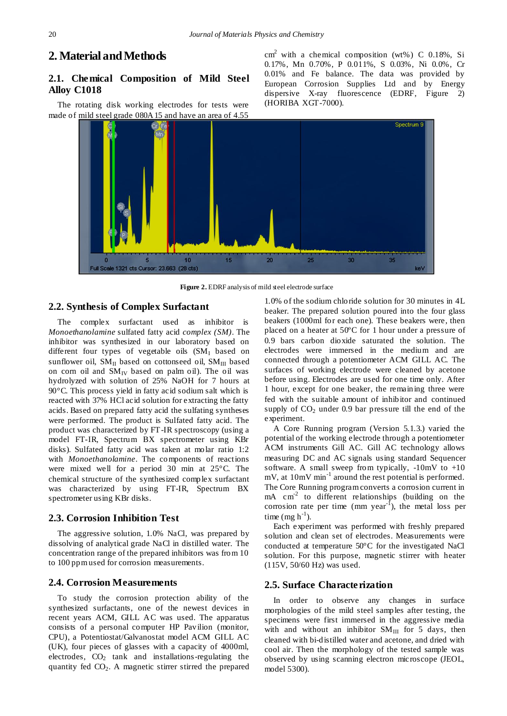# **2. Material and Methods**

## **2.1. Chemical Composition of Mild Steel Alloy C1018**

The rotating disk working electrodes for tests were made of mild steel grade 080A15 and have an area of 4.55

 $\text{cm}^2$  with a chemical composition (wt%) C 0.18%, Si 0.17%, Mn 0.70%, P 0.011%, S 0.03%, Ni 0.0%, Cr 0.01% and Fe balance. The data was provided by European Corrosion Supplies Ltd and by Energy dispersive X-ray fluorescence (EDRF, Figure 2) (HORIBA XGT-7000).



**Figure 2.** EDRF analysis of mild steel electrode surface

#### **2.2. Synthesis of Complex Surfactant**

The complex surfactant used as inhibitor is *Monoethanolamine* sulfated fatty acid *complex (SM)*. The inhibitor was synthesized in our laboratory based on different four types of vegetable oils  $(SM<sub>I</sub>$  based on sunflower oil,  $SM_{II}$  based on cottonseed oil,  $SM_{III}$  based on corn oil and  $SM_{IV}$  based on palm oil). The oil was hydrolyzed with solution of 25% NaOH for 7 hours at 90°C. This process yield in fatty acid sodium salt which is reacted with 37% HCl acid solution for extracting the fatty acids. Based on prepared fatty acid the sulfating syntheses were performed. The product is Sulfated fatty acid. The product was characterized by FT-IR spectroscopy (using a model FT-IR, Spectrum BX spectrometer using KBr disks). Sulfated fatty acid was taken at molar ratio 1:2 with *Monoethanolamine*. The components of reactions were mixed well for a period 30 min at 25°C. The chemical structure of the synthesized complex surfactant was characterized by using FT-IR, Spectrum BX spectrometer using KBr disks.

### **2.3. Corrosion Inhibition Test**

The aggressive solution, 1.0% NaCl, was prepared by dissolving of analytical grade NaCl in distilled water. The concentration range of the prepared inhibitors was from 10 to 100 ppm used for corrosion measurements.

#### **2.4. Corrosion Measurements**

To study the corrosion protection ability of the synthesized surfactants, one of the newest devices in recent years ACM, GILL AC was used. The apparatus consists of a personal computer HP Pavilion (monitor, CPU), a Potentiostat/Galvanostat model ACM GILL AC (UK), four pieces of glasses with a capacity of 4000ml, electrodes,  $CO<sub>2</sub>$  tank and installations-regulating the quantity fed  $CO<sub>2</sub>$ . A magnetic stirrer stirred the prepared

1.0% of the sodium chloride solution for 30 minutes in 4L beaker. The prepared solution poured into the four glass beakers (1000ml for each one). These beakers were, then placed on a heater at 50  $\mathbb C$  for 1 hour under a pressure of 0.9 bars carbon dioxide saturated the solution. The electrodes were immersed in the medium and are connected through a potentiometer ACM GILL AC. The surfaces of working electrode were cleaned by acetone before using. Electrodes are used for one time only. After 1 hour, except for one beaker, the remaining three were fed with the suitable amount of inhibitor and continued supply of  $CO<sub>2</sub>$  under 0.9 bar pressure till the end of the experiment.

A Core Running program (Version 5.1.3.) varied the potential of the working electrode through a potentiometer ACM instruments Gill AC. Gill AC technology allows measuring DC and AC signals using standard Sequencer software. A small sweep from typically,  $-10mV$  to  $+10$ mV, at 10mV min<sup>-1</sup> around the rest potential is performed. The Core Running program converts a corrosion current in mA cm<sup>-2</sup> to different relationships (building on the corrosion rate per time  $(mm year<sup>-1</sup>)$ , the metal loss per time (mg  $h^{-1}$ ).

Each experiment was performed with freshly prepared solution and clean set of electrodes. Measurements were conducted at temperature  $50^{\circ}$ C for the investigated NaCl solution. For this purpose, magnetic stirrer with heater (115V, 50/60 Hz) was used.

#### **2.5. Surface Characterization**

In order to observe any changes in surface morphologies of the mild steel samples after testing, the specimens were first immersed in the aggressive media with and without an inhibitor  $SM_{III}$  for 5 days, then cleaned with bi-distilled water and acetone, and dried with cool air. Then the morphology of the tested sample was observed by using scanning electron microscope (JEOL, model 5300).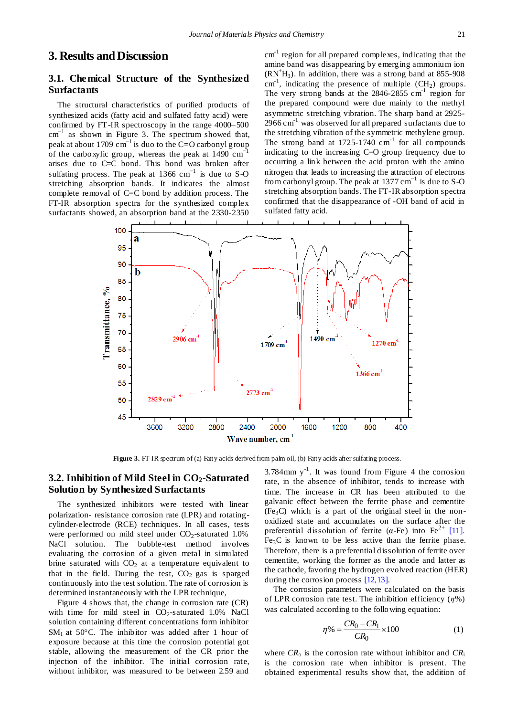# **3. Results and Discussion**

## **3.1. Chemical Structure of the Synthesized Surfactants**

The structural characteristics of purified products of synthesized acids (fatty acid and sulfated fatty acid) were confirmed by FT-IR spectroscopy in the range 4000–500  $cm^{-1}$  as shown in Figure 3. The spectrum showed that, peak at about 1709  $\text{cm}^{-1}$  is duo to the C=O carbonyl group of the carboxylic group, whereas the peak at 1490 cm−1 arises due to C=C bond. This bond was broken after sulfating process. The peak at 1366 cm<sup>-1</sup> is due to S-O stretching absorption bands. It indicates the almost complete removal of C=C bond by addition process. The FT-IR absorption spectra for the synthesized complex surfactants showed, an absorption band at the 2330-2350

 $cm<sup>-1</sup>$  region for all prepared complexes, indicating that the amine band was disappearing by emerging ammonium ion  $(RN<sup>+</sup>H<sub>3</sub>)$ . In addition, there was a strong band at 855-908  $\text{cm}^{\text{-1}}$ , indicating the presence of multiple (CH<sub>2</sub>) groups. The very strong bands at the  $2846-2855$  cm<sup>-1</sup> region for the prepared compound were due mainly to the methyl asymmetric stretching vibration. The sharp band at 2925-  $2966 \text{ cm}^{-1}$  was observed for all prepared surfactants due to the stretching vibration of the symmetric methylene group. The strong band at  $1725-1740$  cm<sup>-1</sup> for all compounds indicating to the increasing C=O group frequency due to occurring a link between the acid proton with the amino nitrogen that leads to increasing the attraction of electrons from carbonyl group. The peak at  $1377 \text{ cm}^{-1}$  is due to S-O stretching absorption bands. The FT-IR absorption spectra confirmed that the disappearance of -OH band of acid in sulfated fatty acid.



Figure 3. FT-IR spectrum of (a) Fatty acids derived from palm oil, (b) Fatty acids after sulfating process.

## **3.2. Inhibition of Mild Steel in CO2-Saturated Solution by Synthesized Surfactants**

The synthesized inhibitors were tested with linear polarization- resistance corrosion rate (LPR) and rotatingcylinder-electrode (RCE) techniques. In all cases, tests were performed on mild steel under  $CO_2$ -saturated 1.0% NaCl solution. The bubble-test method involves evaluating the corrosion of a given metal in simulated brine saturated with  $CO<sub>2</sub>$  at a temperature equivalent to that in the field. During the test,  $CO<sub>2</sub>$  gas is sparged continuously into the test solution. The rate of corrosion is determined instantaneously with the LPR technique,

Figure 4 shows that, the change in corrosion rate (CR) with time for mild steel in  $CO_2$ -saturated 1.0% NaCl solution containing different concentrations form inhibitor SM<sub>I</sub> at 50 °C. The inhibitor was added after 1 hour of exposure because at this time the corrosion potential got stable, allowing the measurement of the CR prior the injection of the inhibitor. The initial corrosion rate, without inhibitor, was measured to be between 2.59 and

 $3.784$ mm y<sup>-1</sup>. It was found from Figure 4 the corrosion rate, in the absence of inhibitor, tends to increase with time. The increase in CR has been attributed to the galvanic effect between the ferrite phase and cementite  $(Fe<sub>3</sub>C)$  which is a part of the original steel in the nonoxidized state and accumulates on the surface after the preferential dissolution of ferrite ( $\alpha$ -Fe) into Fe<sup>2+</sup> [\[11\].](#page-6-8)  $Fe<sub>3</sub>C$  is known to be less active than the ferrite phase. Therefore, there is a preferential dissolution of ferrite over cementite, working the former as the anode and latter as the cathode, favoring the hydrogen evolved reaction (HER) during the corrosion proces[s \[12,13\].](#page-6-9)

The corrosion parameters were calculated on the basis of LPR corrosion rate test. The inhibition efficiency (*η*%) was calculated according to the following equation:

$$
\eta\% = \frac{CR_0 - CR_1}{CR_0} \times 100\tag{1}
$$

where  $CR_0$  is the corrosion rate without inhibitor and  $CR_i$ is the corrosion rate when inhibitor is present. The obtained experimental results show that, the addition of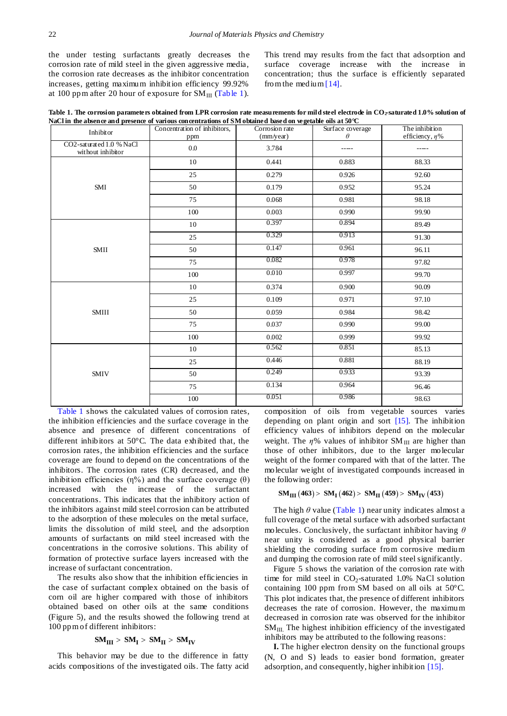the under testing surfactants greatly decreases the corrosion rate of mild steel in the given aggressive media, the corrosion rate decreases as the inhibitor concentration increases, getting maximum inhibition efficiency 99.92% at 100 ppm after 20 hour of exposure for  $SM_{III}$  [\(Table 1\)](#page-3-0).

This trend may results from the fact that adsorption and surface coverage increase with the increase in concentration; thus the surface is efficiently separated from the medium  $[14]$ .

**Table 1. The corrosion parameters obtained from LPR corrosion rate measurements for mild steel electrode in CO2-saturated 1.0% solution of NaCl in the absence and presence of various concentrations of SM obtained based on vegetable oils at 50°C**

<span id="page-3-0"></span>

| Inhibitor                                     | Concentration of inhibitors,<br>ppm | Corrosion rate<br>(mm/year) | Surface coverage<br>$\theta$ | The inhibition<br>efficiency, $\eta$ % |
|-----------------------------------------------|-------------------------------------|-----------------------------|------------------------------|----------------------------------------|
| CO2-saturated 1.0 % NaCl<br>without inhibitor | 0.0                                 | 3.784                       | -----                        | -----                                  |
| SMI                                           | 10                                  | 0.441                       | 0.883                        | 88.33                                  |
|                                               | 25                                  | 0.279                       | 0.926                        | 92.60                                  |
|                                               | 50                                  | 0.179                       | 0.952                        | 95.24                                  |
|                                               | 75                                  | 0.068                       | 0.981                        | 98.18                                  |
|                                               | 100                                 | 0.003                       | 0.990                        | 99.90                                  |
| <b>SMII</b>                                   | $10\,$                              | 0.397                       | 0.894                        | 89.49                                  |
|                                               | 25                                  | 0.329                       | 0.913                        | 91.30                                  |
|                                               | 50                                  | 0.147                       | 0.961                        | 96.11                                  |
|                                               | 75                                  | 0.082                       | 0.978                        | 97.82                                  |
|                                               | 100                                 | 0.010                       | 0.997                        | 99.70                                  |
| <b>SMIII</b>                                  | 10                                  | 0.374                       | 0.900                        | 90.09                                  |
|                                               | 25                                  | 0.109                       | 0.971                        | 97.10                                  |
|                                               | 50                                  | 0.059                       | 0.984                        | 98.42                                  |
|                                               | 75                                  | 0.037                       | 0.990                        | 99.00                                  |
|                                               | 100                                 | 0.002                       | 0.999                        | 99.92                                  |
| <b>SMIV</b>                                   | 10                                  | 0.562                       | 0.851                        | 85.13                                  |
|                                               | 25                                  | 0.446                       | 0.881                        | 88.19                                  |
|                                               | 50                                  | 0.249                       | 0.933                        | 93.39                                  |
|                                               | 75                                  | 0.134                       | 0.964                        | 96.46                                  |
|                                               | $100\,$                             | 0.051                       | 0.986                        | 98.63                                  |

[Table 1](#page-3-0) shows the calculated values of corrosion rates, the inhibition efficiencies and the surface coverage in the absence and presence of different concentrations of different inhibitors at 50°C. The data exhibited that, the corrosion rates, the inhibition efficiencies and the surface coverage are found to depend on the concentrations of the inhibitors. The corrosion rates (CR) decreased, and the inhibition efficiencies (η%) and the surface coverage (θ) increased with the increase of the surfactant concentrations. This indicates that the inhibitory action of the inhibitors against mild steel corrosion can be attributed to the adsorption of these molecules on the metal surface, limits the dissolution of mild steel, and the adsorption amounts of surfactants on mild steel increased with the concentrations in the corrosive solutions. This ability of formation of protective surface layers increased with the increase of surfactant concentration.

The results also show that the inhibition efficiencies in the case of surfactant complex obtained on the basis of corn oil are higher compared with those of inhibitors obtained based on other oils at the same conditions (Figure 5), and the results showed the following trend at 100 ppm of different inhibitors:

#### $SM_{III} > SM_I > SM_{II} > SM_{IV}$

This behavior may be due to the difference in fatty acids compositions of the investigated oils. The fatty acid composition of oils from vegetable sources varies depending on plant origin and sort [\[15\].](#page-6-11) The inhibition efficiency values of inhibitors depend on the molecular weight. The  $\eta$ % values of inhibitor SM<sub>III</sub> are higher than those of other inhibitors, due to the larger molecular weight of the former compared with that of the latter. The molecular weight of investigated compounds increased in the following order:

#### $SM_{III} (463) > SM_{I} (462) > SM_{II} (459) > SM_{IV} (453)$

The high  $\theta$  value [\(Table 1\)](#page-3-0) near unity indicates almost a full coverage of the metal surface with adsorbed surfactant molecules. Conclusively, the surfactant inhibitor having *θ* near unity is considered as a good physical barrier shielding the corroding surface from corrosive medium and dumping the corrosion rate of mild steel significantly.

Figure 5 shows the variation of the corrosion rate with time for mild steel in  $CO<sub>2</sub>$ -saturated 1.0% NaCl solution containing 100 ppm from SM based on all oils at  $50^{\circ}$ C. This plot indicates that, the presence of different inhibitors decreases the rate of corrosion. However, the maximum decreased in corrosion rate was observed for the inhibitor  $SM<sub>III</sub>$ . The highest inhibition efficiency of the investigated inhibitors may be attributed to the following reasons:

**I.** The higher electron density on the functional groups (N, O and S) leads to easier bond formation, greater adsorption, and consequently, higher inhibitio[n \[15\].](#page-6-11)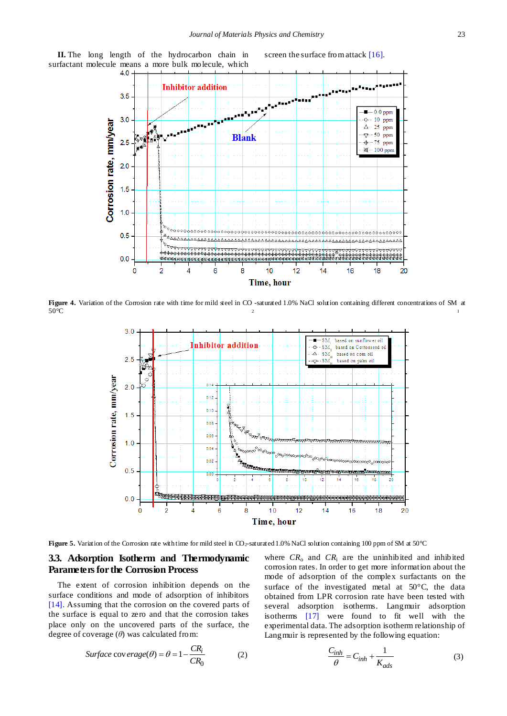

**Figure 4.** Variation of the Corrosion rate with time for mild steel in CO -saturated 1.0% NaCl solution containing different concentrations of SM at 2 I  $50^{\circ}$ C

Time, hour



**Figure 5.** Variation of the Corrosion rate with time for mild steel in CO<sub>2</sub>-saturated 1.0% NaCl solution containing 100 ppm of SM at 50 °C

## **3.3. Adsorption Isotherm and Thermodynamic Parameters for the Corrosion Process**

The extent of corrosion inhibition depends on the surface conditions and mode of adsorption of inhibitors [\[14\].](#page-6-10) Assuming that the corrosion on the covered parts of the surface is equal to zero and that the corrosion takes place only on the uncovered parts of the surface, the degree of coverage (*θ*) was calculated from:

$$
Surface\ cov\ erage(\theta) = \theta = 1 - \frac{CR_i}{CR_0}
$$
 (2)

where  $CR_0$  and  $CR_i$  are the uninhibited and inhibited corrosion rates. In order to get more information about the mode of adsorption of the complex surfactants on the surface of the investigated metal at  $50^{\circ}$ C, the data obtained from LPR corrosion rate have been tested with several adsorption isotherms. Langmuir adsorption isotherms [\[17\]](#page-6-13) were found to fit well with the experimental data. The adsorption isotherm relationship of Langmuir is represented by the following equation:

$$
\frac{C_{inh}}{\theta} = C_{inh} + \frac{1}{K_{ads}}\tag{3}
$$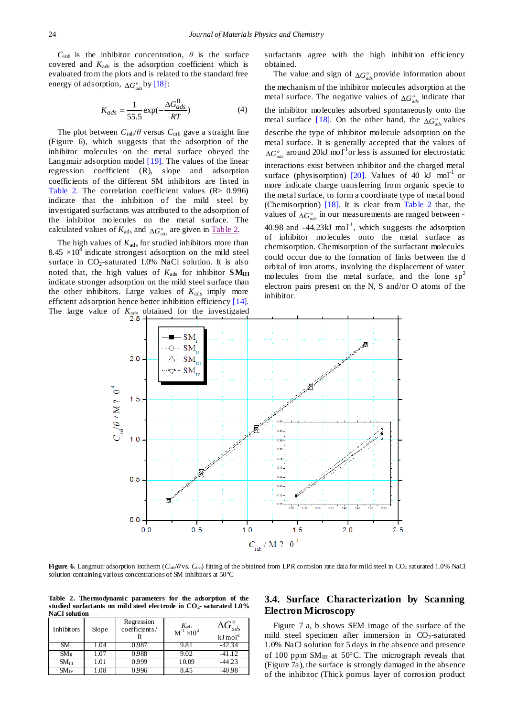$C_{\text{inh}}$  is the inhibitor concentration,  $\theta$  is the surface covered and  $K_{ads}$  is the adsorption coefficient which is evaluated from the plots and is related to the standard free energy of adsorption,  $\Delta G^o_{ads}$  by [\[18\]:](#page-7-0)

$$
K_{ads} = \frac{1}{55.5} \exp(-\frac{\Delta G_{ads}^0}{RT})
$$
 (4)

The plot between  $C_{\text{inh}}/\theta$  versus  $C_{\text{inh}}$  gave a straight line (Figure 6), which suggests that the adsorption of the inhibitor molecules on the metal surface obeyed the Langmuir adsorption model [\[19\].](#page-7-1) The values of the linear regression coefficient (R), slope and adsorption coefficients of the different SM inhibitors are listed in [Table 2.](#page-5-0) The correlation coefficient values (R> 0.996) indicate that the inhibition of the mild steel by investigated surfactants was attributed to the adsorption of the inhibitor molecules on the metal surface. The calculated values of  $K_{\text{ads}}$  and  $\Delta G_{ads}^{\circ}$  are given in <u>Table 2</u>.

The high values of  $K_{ads}$  for studied inhibitors more than 8.45  $\times$ 10<sup>4</sup> indicate strongest adsorption on the mild steel surface in  $CO_2$ -saturated 1.0% NaCl solution. It is also noted that, the high values of  $K_{ads}$  for inhibitor  $\mathbf{SM}_{III}$ indicate stronger adsorption on the mild steel surface than the other inhibitors. Large values of  $K_{\text{ads}}$  imply more efficient adsorption hence better inhibition efficiency [\[14\].](#page-6-10) The large value of  $K_{\text{ads}}$  obtained for the investigated

surfactants agree with the high inhibition efficiency obtained.

The value and sign of  $\Delta G^{\circ}_{ads}$  provide information about the mechanism of the inhibitor molecules adsorption at the metal surface. The negative values of  $\Delta G^{\circ}_{ads}$  indicate that the inhibitor molecules adsorbed spontaneously onto the metal surface [\[18\].](#page-7-0) On the other hand, the  $\Delta G_{ads}^{\circ}$  values describe the type of inhibitor molecule adsorption on the metal surface. It is generally accepted that the values of  $\Delta G_{ads}^{\circ}$  around 20kJ mol<sup>-1</sup> or less is assumed for electrostatic interactions exist between inhibitor and the charged metal surface (physisorption) [\[20\].](#page-7-2) Values of 40  $kJ$  mol<sup>-1</sup> or more indicate charge transferring from organic specie to the metal surface, to form a coordinate type of metal bond (Chemisorption) [\[18\].](#page-7-0) It is clear from [Table 2](#page-5-0) that, the values of  $\Delta G_{ads}^o$  in our measurements are ranged between -40.98 and  $-44.23 \text{kJ}$  mol<sup>-1</sup>, which suggests the adsorption of inhibitor molecules onto the metal surface as chemisorption. Chemisorption of the surfactant molecules could occur due to the formation of links between the d orbital of iron atoms, involving the displacement of water molecules from the metal surface, and the lone  $sp^2$ electron pairs present on the N, S and/or O atoms of the inhibitor.



**Figure 6.** Langmuir adsorption isotherm ( $C_{\text{inh}}$ / $\theta$ vs.  $C_{\text{inh}}$ ) fitting of the obtained from LPR corrosion rate data for mild steel in CO<sub>2</sub> saturated 1.0% NaCl solution containing various concentrations of SM inhibitors at 50 °C

**Table 2. Thermodynamic parameters for the adsorption of the studied surfactants on mild steel electrode in CO2- saturated 1.0% NaCl solution**

<span id="page-5-0"></span>

| Inhibitors              | Slope | Regression<br>coefficients/ | $K_{\text{ads}}$<br>M <sup>-1</sup> $\times$ 10 <sup>4</sup> | $\Delta G_{ads}^o$<br>$kJ \, mol-1$ |
|-------------------------|-------|-----------------------------|--------------------------------------------------------------|-------------------------------------|
| $SM_{I}$                | L.O4  | 0.987                       | 9.81                                                         | -42.34                              |
| $SM_{II}$               | 1.07  | 0.988                       | 9.02                                                         | $-41.12$                            |
| $SM_{III}$              |       | 1999                        |                                                              | 44.23                               |
| $\text{SM}_{\text{IV}}$ | 80.   |                             |                                                              |                                     |

# **3.4. Surface Characterization by Scanning Electron Microscopy**

Figure 7 a, b shows SEM image of the surface of the mild steel specimen after immersion in  $CO<sub>2</sub>$ -saturated 1.0% NaCl solution for 5 days in the absence and presence of 100 ppm  $SM_{III}$  at 50 °C. The micrograph reveals that (Figure 7a), the surface is strongly damaged in the absence of the inhibitor (Thick porous layer of corrosion product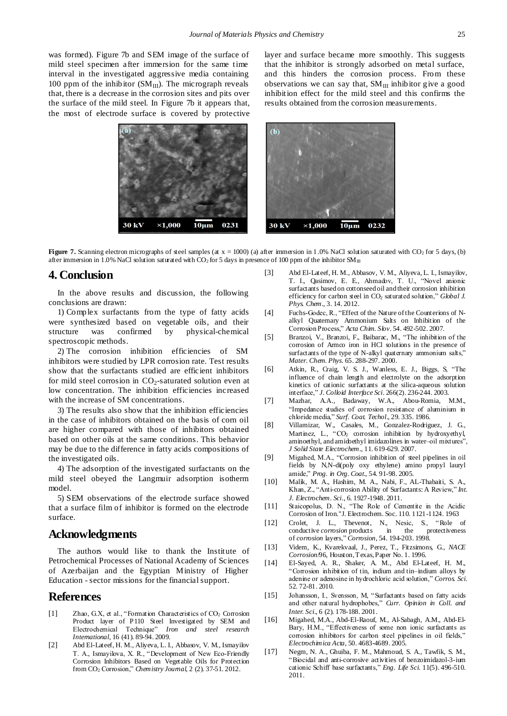was formed). Figure 7b and SEM image of the surface of mild steel specimen after immersion for the same time interval in the investigated aggressive media containing 100 ppm of the inhibitor  $(SM_{III})$ . The micrograph reveals that, there is a decrease in the corrosion sites and pits over the surface of the mild steel. In Figure 7b it appears that, the most of electrode surface is covered by protective layer and surface became more smoothly. This suggests that the inhibitor is strongly adsorbed on metal surface, and this hinders the corrosion process. From these observations we can say that,  $SM_{III}$  inhibitor give a good inhibition effect for the mild steel and this confirms the results obtained from the corrosion measurements.



**30 kV**  $\times 1.000$  $10 \mu m$ 0232

**Figure 7.** Scanning electron micrographs of steel samples (at  $x = 1000$ ) (a) after immersion in 1.0% NaCl solution saturated with CO<sub>2</sub> for 5 days, (b) after immersion in 1.0% NaCl solution saturated with CO<sub>2</sub> for 5 days in presence of 100 ppm of the inhibitor  $SM_{III}$ 

# **4. Conclusion**

In the above results and discussion, the following conclusions are drawn:

1) Complex surfactants from the type of fatty acids were synthesized based on vegetable oils, and their structure was confirmed by physical-chemical spectroscopic methods.

2) The corrosion inhibition efficiencies of SM inhibitors were studied by LPR corrosion rate. Test results show that the surfactants studied are efficient inhibitors for mild steel corrosion in  $CO<sub>2</sub>$ -saturated solution even at low concentration. The inhibition efficiencies increased with the increase of SM concentrations.

3) The results also show that the inhibition efficiencies in the case of inhibitors obtained on the basis of corn oil are higher compared with those of inhibitors obtained based on other oils at the same conditions. This behavior may be due to the difference in fatty acids compositions of the investigated oils.

4) The adsorption of the investigated surfactants on the mild steel obeyed the Langmuir adsorption isotherm model.

5) SEM observations of the electrode surface showed that a surface film of inhibitor is formed on the electrode surface.

#### **Acknowledgments**

The authors would like to thank the Institute of Petrochemical Processes of National Academy of Sciences of Azerbaijan and the Egyptian Ministry of Higher Education - sector missions for the financial support.

## **References**

- <span id="page-6-0"></span>[1] Zhao, G.X, et al., "Formation Characteristics of CO<sub>2</sub> Corrosion Product layer of P110 Steel Investigated by SEM and Electrochemical Technique" *Iron and steel research International*, 16 (41). 89-94. 2009.
- <span id="page-6-1"></span>[2] Abd El-Lateef, H. M., Aliyeva, L. I., Abbasov, V. M., Ismayilov T. A., Ismayilova, X. R., "Development of New Eco-Friendly Corrosion Inhibitors Based on Vegetable Oils for Protection from CO<sup>2</sup> Corrosion," *Chemistry Journal,* 2 (2). 37-51. 2012.
- [3] Abd El-Lateef, H. M., Abbasov, V. M., Aliyeva, L. I., Ismayilov, T. I., Qasimov, E. E., Ahmadov, T. U., "Novel anionic surfactants based on cottonseed oil and their corrosion inhibition efficiency for carbon steel in CO<sub>2</sub> saturated solution," *Global J. Phys. Chem.,* 3. 14. 2012.
- <span id="page-6-2"></span>[4] Fuchs-Godec, R., "Effect of the Nature of the Counterions of Nalkyl Quaternary Ammonium Salts on Inhibition of the Corrosion Process," *Acta Chim. Slov*. 54. 492-502. 2007.
- <span id="page-6-3"></span>[5] Branzoi, V., Branzoi, F., Baibarac, M., "The inhibition of the corrosion of Armco iron in HCl solutions in the presence of surfactants of the type of N-alkyl quaternary ammonium salts," *Mater. Chem. Phys.* 65. 288-297. 2000.
- [6] Atkin, R., Craig, V. S. J., Wanless, E. J., Biggs, S, "The influence of chain length and electrolyte on the adsorption kinetics of cationic surfactants at the silica-aqueous solution interface," *J. Colloid Interface Sci*. 266(2). 236-244. 2003.
- <span id="page-6-4"></span>[7] Mazhar, A.A., Badaway, W.A., Abou-Romia, M.M., "Impedance studies of corrosion resistance of aluminium in chloride media," *Surf. Coat. Techol*., 29. 335. 1986.
- <span id="page-6-5"></span>[8] Villamizar, W., Casales, M., Gonzalez-Rodriguez, J. G., Martinez, L., "CO<sub>2</sub> corrosion inhibition by hydroxyethyl, aminoethyl, and amidoethyl imidazolines in water–oil mixtures", *J Solid State Electrochem.*, 11. 619-629. 2007.
- <span id="page-6-6"></span>[9] Migahed, M.A., "Corrosion inhibition of steel pipelines in oil fields by N,N-di(poly oxy ethylene) amino propyl lauryl amide," *Prog. in Org. Coat.,* 54. 91-98. 2005.
- <span id="page-6-7"></span>[10] Malik, M. A., Hashim, M. A., Nabi, F., AL-Thabaiti, S. A., Khan, Z., "Anti-corrosion Ability of Surfactants: A Review," *Int. J. Electrochem. Sci*., 6. 1927-1948. 2011.
- <span id="page-6-8"></span>[11] Staicopolus, D. N., "The Role of Cementite in the Acidic Corrosion of Iron."J. Electrochem. Soc. 110. 1121-1124. 1963
- <span id="page-6-9"></span>[12] Crolet, J. L., Thevenot, N., Nesic, S., "Role of conductive *corrosion* products in the protectiveness of *corrosion* layers," *Corrosion*, 54. 194-203. 1998.
- [13] Videm, K., Kvarekvaal, J., Perez, T., Fitzsimons, G., *NACE Corrosion*/96, Houston, Texas, Paper No. 1. 1996.
- <span id="page-6-10"></span>[14] El-Sayed, A. R., Shaker, A. M., Abd El-Lateef, H. M., "Corrosion inhibition of tin, indium and tin–indium alloys by adenine or adenosine in hydrochloric acid solution," *Corros. Sci.* 52. 72-81. 2010.
- <span id="page-6-11"></span>[15] Johansson, I., Svensson, M, "Surfactants based on fatty acids and other natural hydrophobes," *Curr. Opinion in Coll. and Inter. Sci.*, 6 (2). 178-188. 2001.
- <span id="page-6-12"></span>[16] Migahed, M.A., Abd-El-Raouf, M., Al-Sabagh, A.M., Abd-El-Bary, H.M., "Effectiveness of some non ionic surfactants as corrosion inhibitors for carbon steel pipelines in oil fields," *Electrochimica Acta,* 50. 4683-4689. 2005.
- <span id="page-6-13"></span>[17] Negm, N. A., Ghuiba, F. M., Mahmoud, S. A., Tawfik, S. M., "Biocidal and anti-corrosive activities of benzoimidazol-3-ium cationic Schiff base surfactants," *Eng. Life Sci*. 11(5). 496-510. 2011.